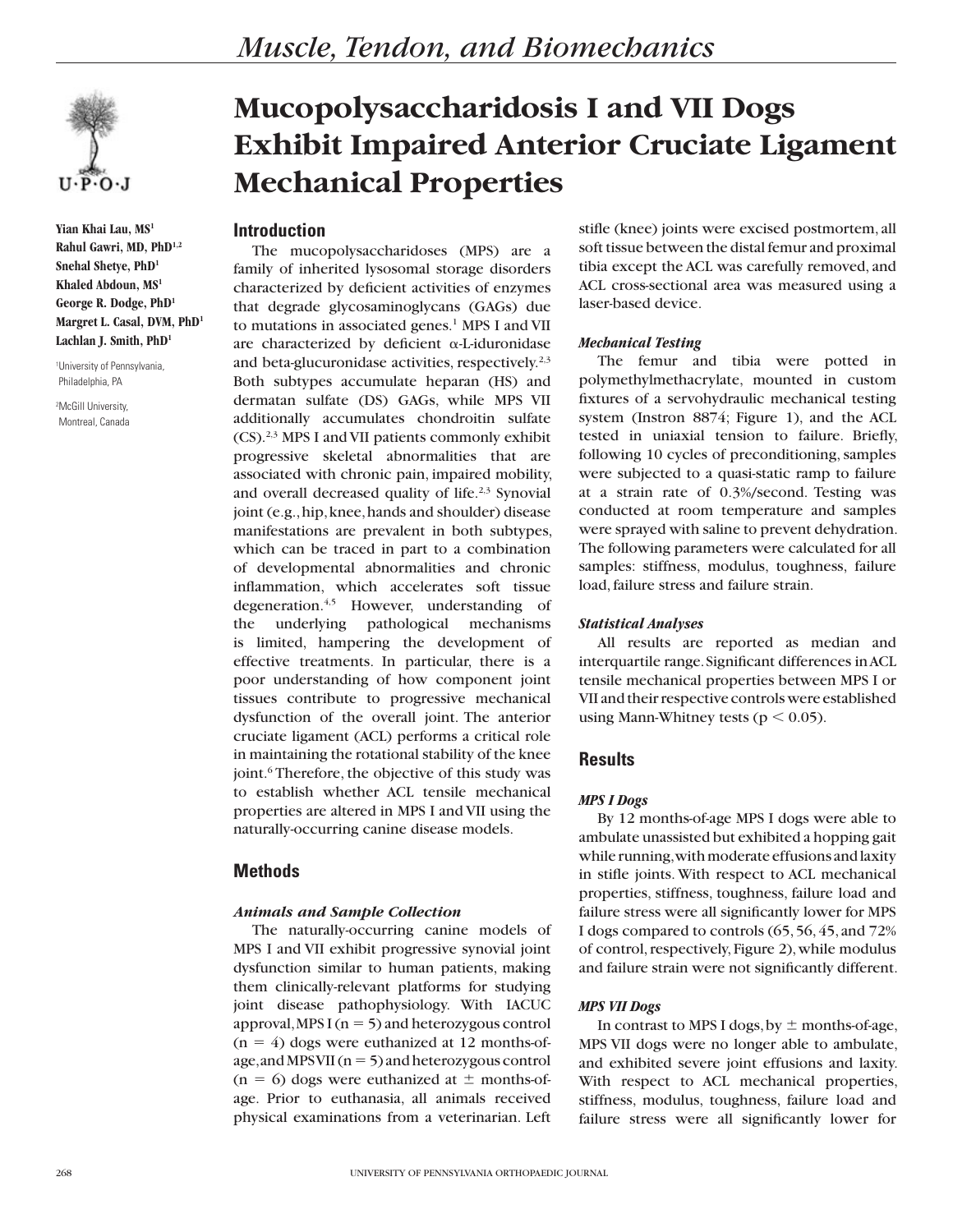

**Yian Khai Lau, MS1 Rahul Gawri, MD, PhD1,2 Snehal Shetye, PhD1 Khaled Abdoun, MS1 George R. Dodge, PhD1 Margret L. Casal, DVM, PhD1 Lachlan J. Smith, PhD1**

1 University of Pennsylvania, Philadelphia, PA

2 McGill University, Montreal, Canada

# **Mucopolysaccharidosis I and VII Dogs Exhibit Impaired Anterior Cruciate Ligament Mechanical Properties**

# **Introduction**

The mucopolysaccharidoses (MPS) are a family of inherited lysosomal storage disorders characterized by deficient activities of enzymes that degrade glycosaminoglycans (GAGs) due to mutations in associated genes.<sup>1</sup> MPS I and VII are characterized by deficient  $\alpha$ -L-iduronidase and beta-glucuronidase activities, respectively.<sup>2,3</sup> Both subtypes accumulate heparan (HS) and dermatan sulfate (DS) GAGs, while MPS VII additionally accumulates chondroitin sulfate (CS).2,3 MPS I and VII patients commonly exhibit progressive skeletal abnormalities that are associated with chronic pain, impaired mobility, and overall decreased quality of life. $2,3$  Synovial joint (e.g., hip, knee, hands and shoulder) disease manifestations are prevalent in both subtypes, which can be traced in part to a combination of developmental abnormalities and chronic inflammation, which accelerates soft tissue degeneration.<sup>4,5</sup> However, understanding of the underlying pathological mechanisms is limited, hampering the development of effective treatments. In particular, there is a poor understanding of how component joint tissues contribute to progressive mechanical dysfunction of the overall joint. The anterior cruciate ligament (ACL) performs a critical role in maintaining the rotational stability of the knee joint.<sup>6</sup> Therefore, the objective of this study was to establish whether ACL tensile mechanical properties are altered in MPS I and VII using the naturally-occurring canine disease models.

# **Methods**

#### *Animals and Sample Collection*

The naturally-occurring canine models of MPS I and VII exhibit progressive synovial joint dysfunction similar to human patients, making them clinically-relevant platforms for studying joint disease pathophysiology. With IACUC approval, MPS I ( $n = 5$ ) and heterozygous control  $(n = 4)$  dogs were euthanized at 12 months-ofage, and MPS VII ( $n = 5$ ) and heterozygous control  $(n = 6)$  dogs were euthanized at  $\pm$  months-ofage. Prior to euthanasia, all animals received physical examinations from a veterinarian. Left

stifle (knee) joints were excised postmortem, all soft tissue between the distal femur and proximal tibia except the ACL was carefully removed, and ACL cross-sectional area was measured using a laser-based device.

### *Mechanical Testing*

The femur and tibia were potted in polymethylmethacrylate, mounted in custom fixtures of a servohydraulic mechanical testing system (Instron 8874; Figure 1), and the ACL tested in uniaxial tension to failure. Briefly, following 10 cycles of preconditioning, samples were subjected to a quasi-static ramp to failure at a strain rate of 0.3%/second. Testing was conducted at room temperature and samples were sprayed with saline to prevent dehydration. The following parameters were calculated for all samples: stiffness, modulus, toughness, failure load, failure stress and failure strain.

## *Statistical Analyses*

All results are reported as median and interquartile range. Significant differences in ACL tensile mechanical properties between MPS I or VII and their respective controls were established using Mann-Whitney tests ( $p < 0.05$ ).

# **Results**

## *MPS I Dogs*

By 12 months-of-age MPS I dogs were able to ambulate unassisted but exhibited a hopping gait while running, with moderate effusions and laxity in stifle joints. With respect to ACL mechanical properties, stiffness, toughness, failure load and failure stress were all significantly lower for MPS I dogs compared to controls (65, 56, 45, and 72% of control, respectively, Figure 2), while modulus and failure strain were not significantly different.

## *MPS VII Dogs*

In contrast to MPS I dogs, by  $\pm$  months-of-age, MPS VII dogs were no longer able to ambulate, and exhibited severe joint effusions and laxity. With respect to ACL mechanical properties, stiffness, modulus, toughness, failure load and failure stress were all significantly lower for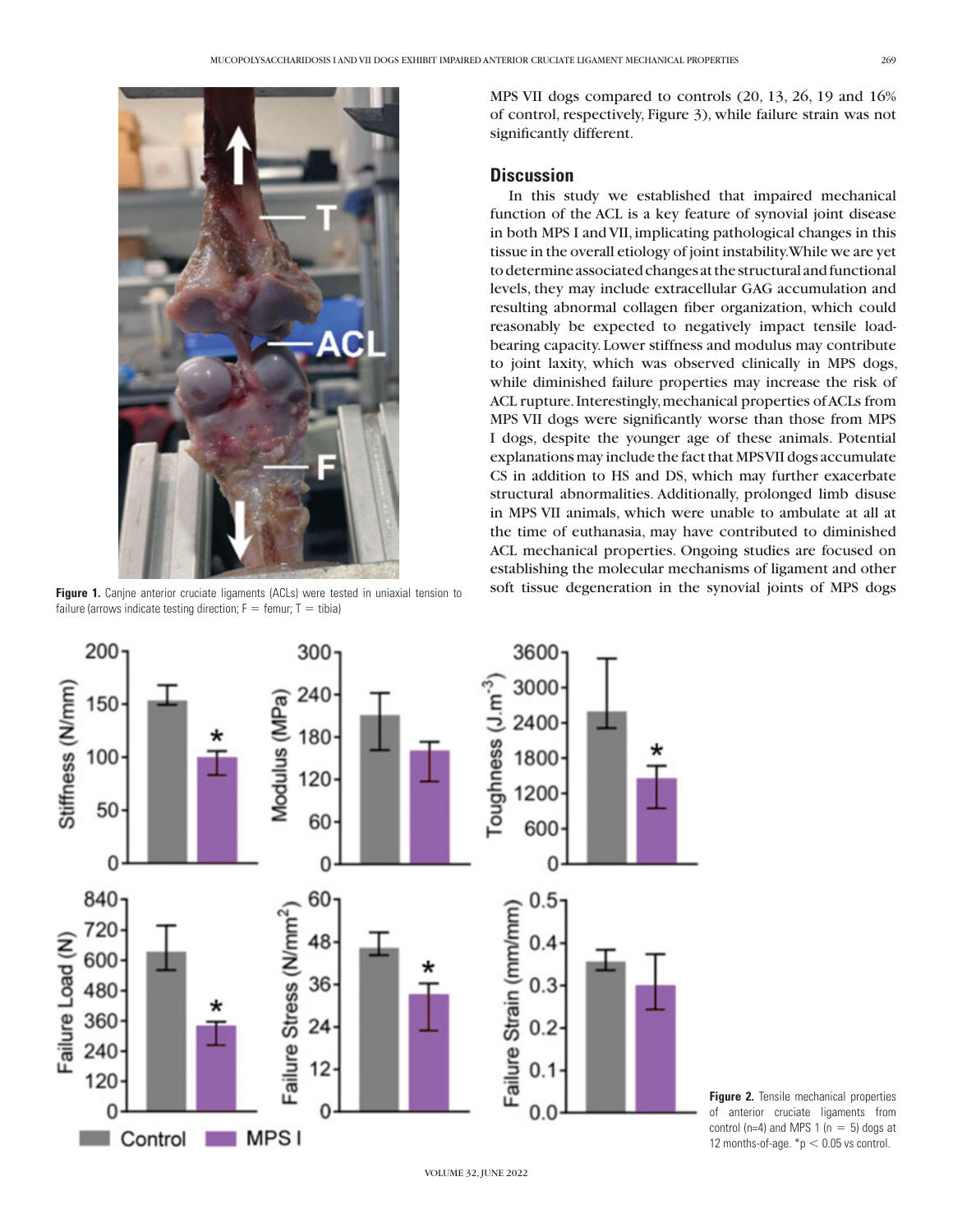

failure (arrows indicate testing direction;  $F =$  femur; T = tibia)

MPS VII dogs compared to controls (20, 13, 26, 19 and 16% of control, respectively, Figure 3), while failure strain was not significantly different.

#### **Discussion**

In this study we established that impaired mechanical function of the ACL is a key feature of synovial joint disease in both MPS I and VII, implicating pathological changes in this tissue in the overall etiology of joint instability. While we are yet to determine associated changes at the structural and functional levels, they may include extracellular GAG accumulation and resulting abnormal collagen fiber organization, which could reasonably be expected to negatively impact tensile loadbearing capacity. Lower stiffness and modulus may contribute to joint laxity, which was observed clinically in MPS dogs, while diminished failure properties may increase the risk of ACL rupture. Interestingly, mechanical properties of ACLs from MPS VII dogs were significantly worse than those from MPS I dogs, despite the younger age of these animals. Potential explanations may include the fact that MPS VII dogs accumulate CS in addition to HS and DS, which may further exacerbate structural abnormalities. Additionally, prolonged limb disuse in MPS VII animals, which were unable to ambulate at all at the time of euthanasia, may have contributed to diminished ACL mechanical properties. Ongoing studies are focused on establishing the molecular mechanisms of ligament and other Figure 1. Canjne anterior cruciate ligaments (ACLs) were tested in uniaxial tension to soft tissue degeneration in the synovial joints of MPS dogs



**Figure 2.** Tensile mechanical properties of anterior cruciate ligaments from control (n=4) and MPS 1 (n = 5) dogs at 12 months-of-age.  $np < 0.05$  vs control.